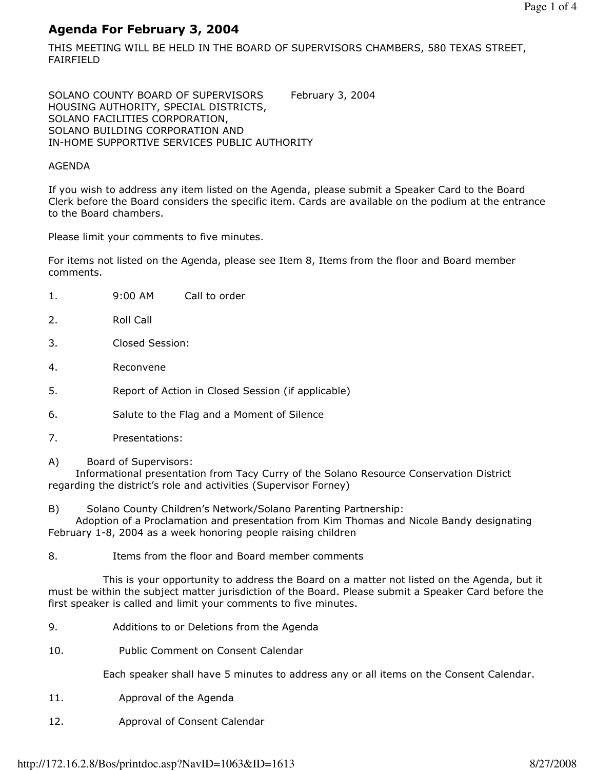# Agenda For February 3, 2004

THIS MEETING WILL BE HELD IN THE BOARD OF SUPERVISORS CHAMBERS, 580 TEXAS STREET, FAIRFIELD

SOLANO COUNTY BOARD OF SUPERVISORS February 3, 2004 HOUSING AUTHORITY, SPECIAL DISTRICTS, SOLANO FACILITIES CORPORATION, SOLANO BUILDING CORPORATION AND IN-HOME SUPPORTIVE SERVICES PUBLIC AUTHORITY

# AGENDA

If you wish to address any item listed on the Agenda, please submit a Speaker Card to the Board Clerk before the Board considers the specific item. Cards are available on the podium at the entrance to the Board chambers.

Please limit your comments to five minutes.

1. 9:00 AM Call to order

For items not listed on the Agenda, please see Item 8, Items from the floor and Board member comments.

- 2. Roll Call 3. Closed Session: 4. Reconvene 5. Report of Action in Closed Session (if applicable)
- 
- 6. Salute to the Flag and a Moment of Silence
- 7. Presentations:
- A) Board of Supervisors:

 Informational presentation from Tacy Curry of the Solano Resource Conservation District regarding the district's role and activities (Supervisor Forney)

B) Solano County Children's Network/Solano Parenting Partnership:

 Adoption of a Proclamation and presentation from Kim Thomas and Nicole Bandy designating February 1-8, 2004 as a week honoring people raising children

8. Items from the floor and Board member comments

 This is your opportunity to address the Board on a matter not listed on the Agenda, but it must be within the subject matter jurisdiction of the Board. Please submit a Speaker Card before the first speaker is called and limit your comments to five minutes.

- 9. Additions to or Deletions from the Agenda
- 10. Public Comment on Consent Calendar

Each speaker shall have 5 minutes to address any or all items on the Consent Calendar.

- 11. Approval of the Agenda
- 12. Approval of Consent Calendar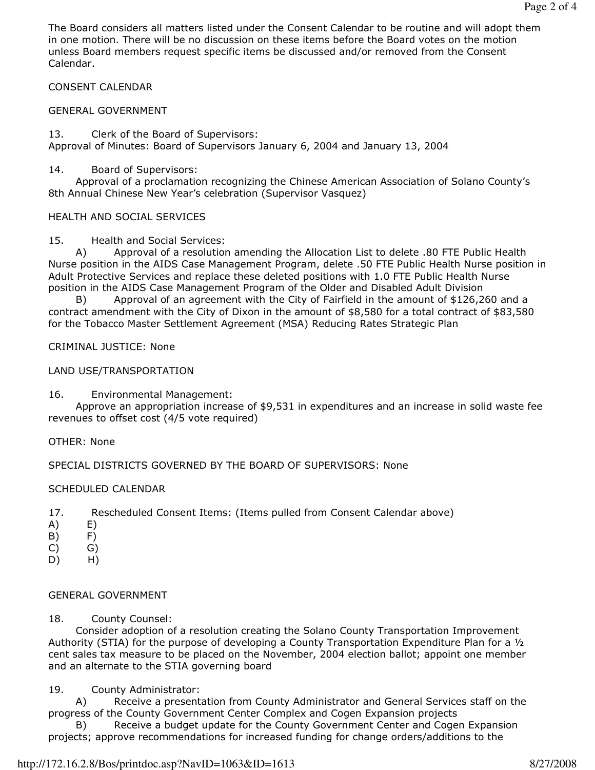The Board considers all matters listed under the Consent Calendar to be routine and will adopt them in one motion. There will be no discussion on these items before the Board votes on the motion unless Board members request specific items be discussed and/or removed from the Consent Calendar.

### CONSENT CALENDAR

### GENERAL GOVERNMENT

13. Clerk of the Board of Supervisors: Approval of Minutes: Board of Supervisors January 6, 2004 and January 13, 2004

### 14. Board of Supervisors:

 Approval of a proclamation recognizing the Chinese American Association of Solano County's 8th Annual Chinese New Year's celebration (Supervisor Vasquez)

### HEALTH AND SOCIAL SERVICES

15. Health and Social Services:

 A) Approval of a resolution amending the Allocation List to delete .80 FTE Public Health Nurse position in the AIDS Case Management Program, delete .50 FTE Public Health Nurse position in Adult Protective Services and replace these deleted positions with 1.0 FTE Public Health Nurse position in the AIDS Case Management Program of the Older and Disabled Adult Division

 B) Approval of an agreement with the City of Fairfield in the amount of \$126,260 and a contract amendment with the City of Dixon in the amount of \$8,580 for a total contract of \$83,580 for the Tobacco Master Settlement Agreement (MSA) Reducing Rates Strategic Plan

# CRIMINAL JUSTICE: None

### LAND USE/TRANSPORTATION

#### 16. Environmental Management:

 Approve an appropriation increase of \$9,531 in expenditures and an increase in solid waste fee revenues to offset cost (4/5 vote required)

#### OTHER: None

SPECIAL DISTRICTS GOVERNED BY THE BOARD OF SUPERVISORS: None

#### SCHEDULED CALENDAR

- 17. Rescheduled Consent Items: (Items pulled from Consent Calendar above)
- A) E)
- B) F)
- C) G)
- D) H)

#### GENERAL GOVERNMENT

18. County Counsel:

 Consider adoption of a resolution creating the Solano County Transportation Improvement Authority (STIA) for the purpose of developing a County Transportation Expenditure Plan for a ½ cent sales tax measure to be placed on the November, 2004 election ballot; appoint one member and an alternate to the STIA governing board

# 19. County Administrator:

 A) Receive a presentation from County Administrator and General Services staff on the progress of the County Government Center Complex and Cogen Expansion projects

 B) Receive a budget update for the County Government Center and Cogen Expansion projects; approve recommendations for increased funding for change orders/additions to the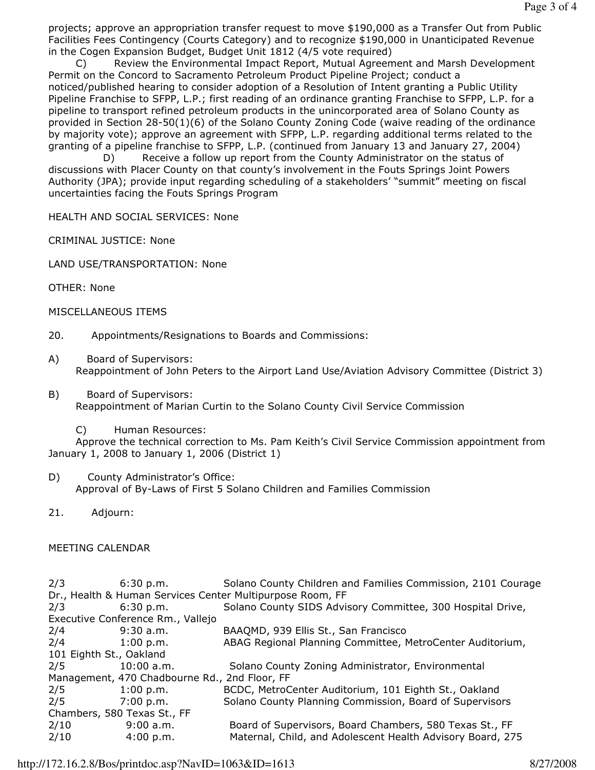projects; approve an appropriation transfer request to move \$190,000 as a Transfer Out from Public Facilities Fees Contingency (Courts Category) and to recognize \$190,000 in Unanticipated Revenue in the Cogen Expansion Budget, Budget Unit 1812 (4/5 vote required)

 C) Review the Environmental Impact Report, Mutual Agreement and Marsh Development Permit on the Concord to Sacramento Petroleum Product Pipeline Project; conduct a noticed/published hearing to consider adoption of a Resolution of Intent granting a Public Utility Pipeline Franchise to SFPP, L.P.; first reading of an ordinance granting Franchise to SFPP, L.P. for a pipeline to transport refined petroleum products in the unincorporated area of Solano County as provided in Section 28-50(1)(6) of the Solano County Zoning Code (waive reading of the ordinance by majority vote); approve an agreement with SFPP, L.P. regarding additional terms related to the granting of a pipeline franchise to SFPP, L.P. (continued from January 13 and January 27, 2004)

 D) Receive a follow up report from the County Administrator on the status of discussions with Placer County on that county's involvement in the Fouts Springs Joint Powers Authority (JPA); provide input regarding scheduling of a stakeholders' "summit" meeting on fiscal uncertainties facing the Fouts Springs Program

HEALTH AND SOCIAL SERVICES: None

CRIMINAL JUSTICE: None

LAND USE/TRANSPORTATION: None

OTHER: None

MISCELLANEOUS ITEMS

- 20. Appointments/Resignations to Boards and Commissions:
- A) Board of Supervisors: Reappointment of John Peters to the Airport Land Use/Aviation Advisory Committee (District 3)
- B) Board of Supervisors: Reappointment of Marian Curtin to the Solano County Civil Service Commission
	- C) Human Resources:

 Approve the technical correction to Ms. Pam Keith's Civil Service Commission appointment from January 1, 2008 to January 1, 2006 (District 1)

- D) County Administrator's Office: Approval of By-Laws of First 5 Solano Children and Families Commission
- 21. Adjourn:

# MEETING CALENDAR

| 2/3                                                       | 6:30 p.m.    | Solano County Children and Families Commission, 2101 Courage |
|-----------------------------------------------------------|--------------|--------------------------------------------------------------|
| Dr., Health & Human Services Center Multipurpose Room, FF |              |                                                              |
| 2/3                                                       | 6:30 p.m.    | Solano County SIDS Advisory Committee, 300 Hospital Drive,   |
| Executive Conference Rm., Vallejo                         |              |                                                              |
| 2/4                                                       | $9:30$ a.m.  | BAAQMD, 939 Ellis St., San Francisco                         |
| 2/4                                                       | 1:00 p.m.    | ABAG Regional Planning Committee, MetroCenter Auditorium,    |
| 101 Eighth St., Oakland                                   |              |                                                              |
| 2/5                                                       | $10:00$ a.m. | Solano County Zoning Administrator, Environmental            |
| Management, 470 Chadbourne Rd., 2nd Floor, FF             |              |                                                              |
| 2/5                                                       | 1:00 p.m.    | BCDC, MetroCenter Auditorium, 101 Eighth St., Oakland        |
| 2/5                                                       | 7:00 p.m.    | Solano County Planning Commission, Board of Supervisors      |
| Chambers, 580 Texas St., FF                               |              |                                                              |
| 2/10                                                      | 9:00 a.m.    | Board of Supervisors, Board Chambers, 580 Texas St., FF      |
| 2/10                                                      | 4:00 p.m.    | Maternal, Child, and Adolescent Health Advisory Board, 275   |

http://172.16.2.8/Bos/printdoc.asp?NavID=1063&ID=1613 8/27/2008